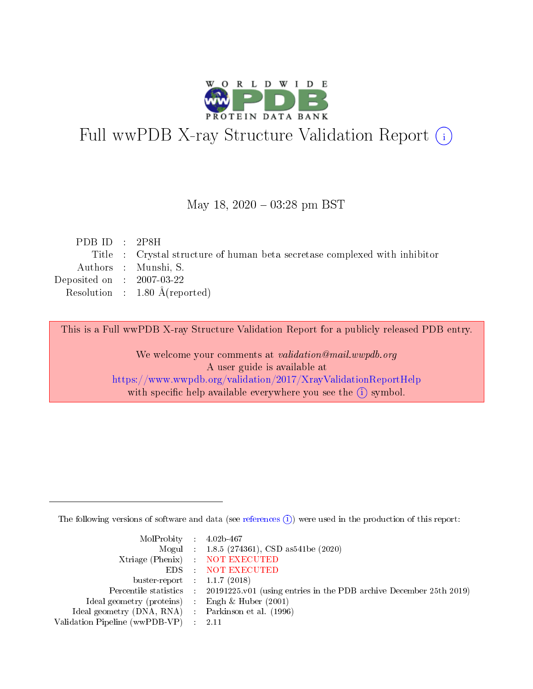

# Full wwPDB X-ray Structure Validation Report (i)

#### May 18,  $2020 - 03:28$  pm BST

| PDB ID : $2P8H$             |                                                                            |
|-----------------------------|----------------------------------------------------------------------------|
|                             | Title : Crystal structure of human beta secretase complexed with inhibitor |
|                             | Authors : Munshi, S.                                                       |
| Deposited on : $2007-03-22$ |                                                                            |
|                             | Resolution : $1.80 \text{ Å}$ (reported)                                   |
|                             |                                                                            |

This is a Full wwPDB X-ray Structure Validation Report for a publicly released PDB entry.

We welcome your comments at validation@mail.wwpdb.org A user guide is available at <https://www.wwpdb.org/validation/2017/XrayValidationReportHelp> with specific help available everywhere you see the  $(i)$  symbol.

The following versions of software and data (see [references](https://www.wwpdb.org/validation/2017/XrayValidationReportHelp#references)  $(i)$ ) were used in the production of this report:

| MolProbity : $4.02b-467$                            |                                                                                            |
|-----------------------------------------------------|--------------------------------------------------------------------------------------------|
|                                                     | Mogul : 1.8.5 (274361), CSD as 541be (2020)                                                |
|                                                     | Xtriage (Phenix) NOT EXECUTED                                                              |
|                                                     | EDS : NOT EXECUTED                                                                         |
| buster-report : $1.1.7(2018)$                       |                                                                                            |
|                                                     | Percentile statistics : 20191225.v01 (using entries in the PDB archive December 25th 2019) |
| Ideal geometry (proteins)                           | Engh & Huber $(2001)$                                                                      |
| Ideal geometry (DNA, RNA) : Parkinson et al. (1996) |                                                                                            |
| Validation Pipeline (wwPDB-VP)                      | - 2.11                                                                                     |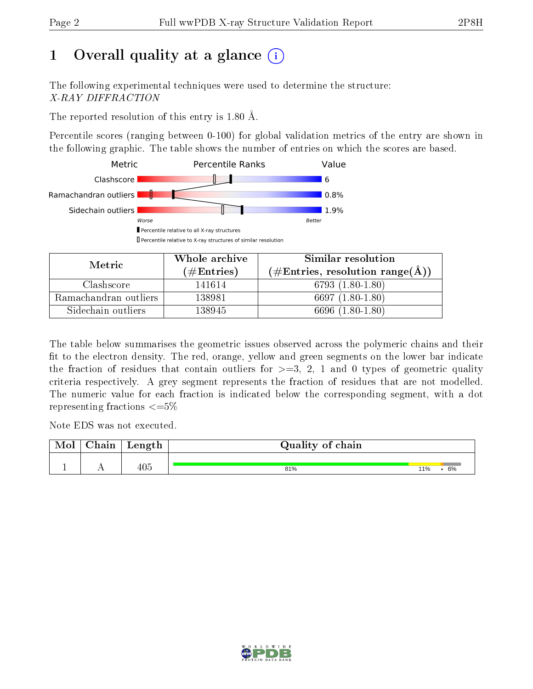# 1 [O](https://www.wwpdb.org/validation/2017/XrayValidationReportHelp#overall_quality)verall quality at a glance  $(i)$

The following experimental techniques were used to determine the structure: X-RAY DIFFRACTION

The reported resolution of this entry is 1.80 Å.

Percentile scores (ranging between 0-100) for global validation metrics of the entry are shown in the following graphic. The table shows the number of entries on which the scores are based.



| Metric.               | Whole archive       | Similar resolution                                         |
|-----------------------|---------------------|------------------------------------------------------------|
|                       | (# $\rm{Entries}$ ) | $(\#\text{Entries}, \text{resolution range}(\text{\AA}) )$ |
| Clashscore            | 141614              | $6793(1.80-1.80)$                                          |
| Ramachandran outliers | 138981              | 6697 $(1.80-1.80)$                                         |
| Sidechain outliers    | 138945              | 6696 (1.80-1.80)                                           |

The table below summarises the geometric issues observed across the polymeric chains and their fit to the electron density. The red, orange, yellow and green segments on the lower bar indicate the fraction of residues that contain outliers for  $\geq=3$ , 2, 1 and 0 types of geometric quality criteria respectively. A grey segment represents the fraction of residues that are not modelled. The numeric value for each fraction is indicated below the corresponding segment, with a dot representing fractions  $\leq=5\%$ 

Note EDS was not executed.

| Mol | Chain | Length | Quality of chain |     |    |
|-----|-------|--------|------------------|-----|----|
|     |       | 405    | 81%              | 11% | 6% |

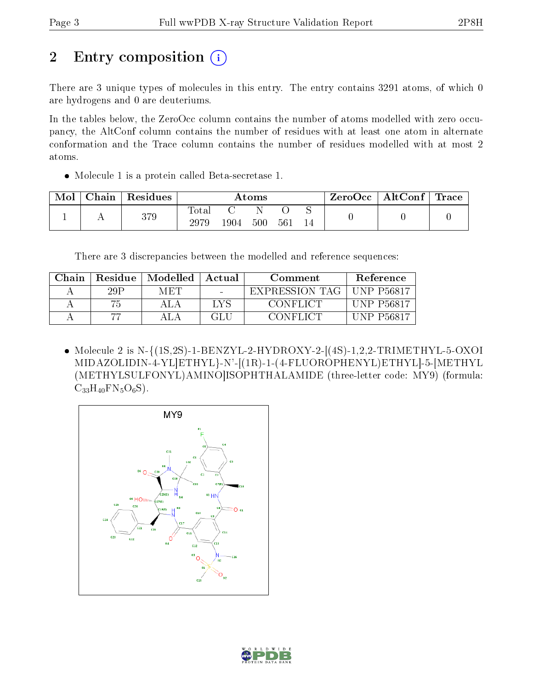# 2 Entry composition (i)

There are 3 unique types of molecules in this entry. The entry contains 3291 atoms, of which 0 are hydrogens and 0 are deuteriums.

In the tables below, the ZeroOcc column contains the number of atoms modelled with zero occupancy, the AltConf column contains the number of residues with at least one atom in alternate conformation and the Trace column contains the number of residues modelled with at most 2 atoms.

Molecule 1 is a protein called Beta-secretase 1.

| Mol | Chain | Residues | Atoms         |      |     |     |    | $\text{ZeroOcc} \mid \text{AltConf} \mid$ | $\mid$ Trace $\mid$ |
|-----|-------|----------|---------------|------|-----|-----|----|-------------------------------------------|---------------------|
|     |       | 379      | Total<br>2979 | 1904 | 500 | 561 | 14 |                                           |                     |

There are 3 discrepancies between the modelled and reference sequences:

| Chain | <b>Residue</b> | Modelled | Actual | Comment        | <b>Reference</b>   |
|-------|----------------|----------|--------|----------------|--------------------|
|       | 29 P           | M ET L   |        | EXPRESSION TAG | <b>IINP P56817</b> |
|       | 75.            |          | LVS    | CONFLICT       | <b>UNP P56817</b>  |
|       |                |          | GLI    | CONFLICT       | $N$ P P56817       |

 $\bullet$  Molecule 2 is N-{(1S,2S)-1-BENZYL-2-HYDROXY-2-[(4S)-1,2,2-TRIMETHYL-5-OXOI MIDAZOLIDIN-4-YL]ETHYL}-N'-[(1R)-1-(4-FLUOROPHENYL)ETHYL]-5-[METHYL (METHYLSULFONYL)AMINO]ISOPHTHALAMIDE (three-letter code: MY9) (formula:  $C_{33}H_{40}FN_5O_6S$ .



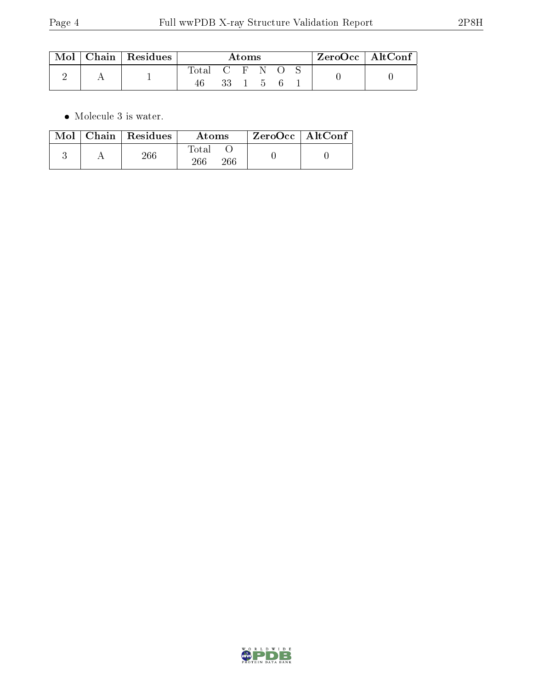| Mol | Chain   Residues | Atoms         |  |  |        |  | $ZeroOcc \mid AltConf \mid$ |  |  |
|-----|------------------|---------------|--|--|--------|--|-----------------------------|--|--|
|     |                  | Total C F N O |  |  | 33 1 5 |  |                             |  |  |

 $\bullet\,$  Molecule 3 is water.

|  | $Mol$   Chain   Residues | Atoms               | $\rm ZeroOcc$   AltConf |  |
|--|--------------------------|---------------------|-------------------------|--|
|  | 266                      | Total<br>266<br>266 |                         |  |

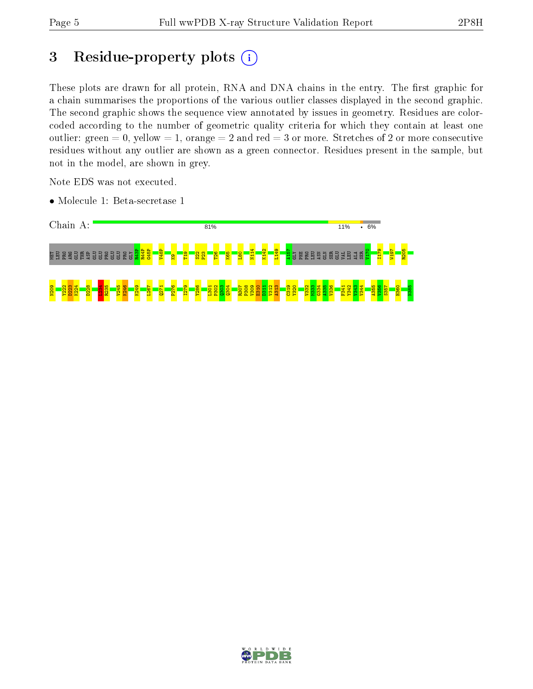# 3 Residue-property plots  $(i)$

These plots are drawn for all protein, RNA and DNA chains in the entry. The first graphic for a chain summarises the proportions of the various outlier classes displayed in the second graphic. The second graphic shows the sequence view annotated by issues in geometry. Residues are colorcoded according to the number of geometric quality criteria for which they contain at least one outlier: green  $= 0$ , yellow  $= 1$ , orange  $= 2$  and red  $= 3$  or more. Stretches of 2 or more consecutive residues without any outlier are shown as a green connector. Residues present in the sample, but not in the model, are shown in grey.

Note EDS was not executed.

• Molecule 1: Beta-secretase 1



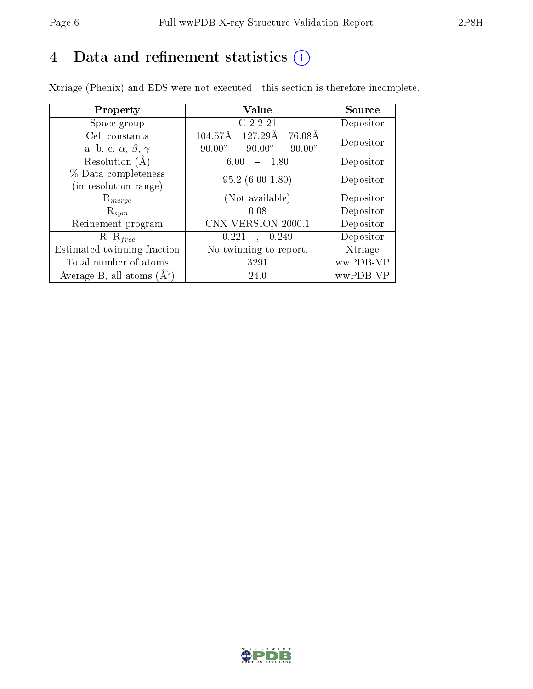# 4 Data and refinement statistics  $(i)$

Xtriage (Phenix) and EDS were not executed - this section is therefore incomplete.

| Property                               | Value                                           | Source    |  |
|----------------------------------------|-------------------------------------------------|-----------|--|
| Space group                            | C 2 2 21                                        | Depositor |  |
| Cell constants                         | 76.08Å<br>$104.57\text{\AA}$<br>127.29Å         | Depositor |  |
| a, b, c, $\alpha$ , $\beta$ , $\gamma$ | $90.00^\circ$<br>$90.00^\circ$<br>$90.00^\circ$ |           |  |
| Resolution (A                          | - 1.80<br>6.00                                  | Depositor |  |
| % Data completeness                    | $95.2(6.00-1.80)$                               | Depositor |  |
| (in resolution range)                  |                                                 |           |  |
| $\mathrm{R}_{merge}$                   | (Not available)                                 | Depositor |  |
| $\mathrm{R}_{sym}$                     | 0.08                                            | Depositor |  |
| Refinement program                     | CNX VERSION 2000.1                              | Depositor |  |
| $R, R_{free}$                          | 0.221<br>, 0.249                                | Depositor |  |
| Estimated twinning fraction            | No twinning to report.                          | Xtriage   |  |
| Total number of atoms                  | 3291                                            | wwPDB-VP  |  |
| Average B, all atoms $(A^2)$           | 24.0                                            | wwPDB-VP  |  |

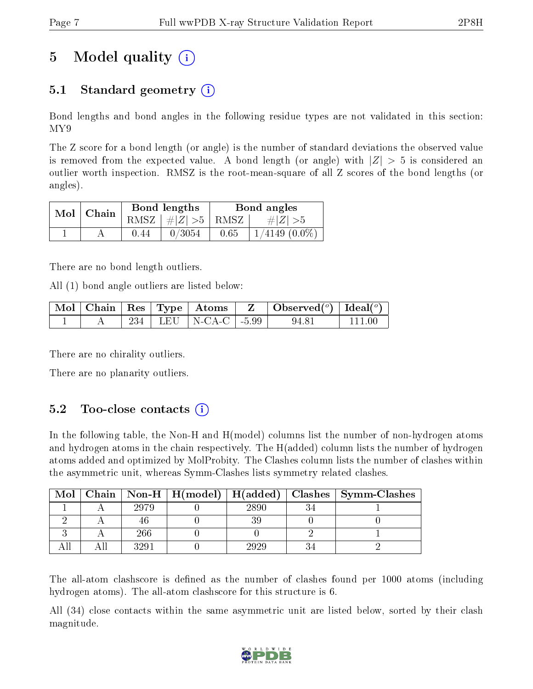# 5 Model quality  $(i)$

## 5.1 Standard geometry  $(i)$

Bond lengths and bond angles in the following residue types are not validated in this section: MY9

The Z score for a bond length (or angle) is the number of standard deviations the observed value is removed from the expected value. A bond length (or angle) with  $|Z| > 5$  is considered an outlier worth inspection. RMSZ is the root-mean-square of all Z scores of the bond lengths (or angles).

| $Mol$   Chain |        | Bond lengths                            |      | Bond angles        |
|---------------|--------|-----------------------------------------|------|--------------------|
|               |        | RMSZ $\mid \#  Z  > 5 \mid$ RMSZ $\mid$ |      | $\# Z  > 5$        |
|               | (1.44) | 0/3054                                  | 0.65 | $1/4149$ $(0.0\%)$ |

There are no bond length outliers.

All (1) bond angle outliers are listed below:

|  |  |                            | $\mid$ Mol $\mid$ Chain $\mid$ Res $\mid$ Type $\mid$ Atoms $\mid$ Z $\mid$ Observed( <sup>o</sup> ) $\mid$ Ideal( <sup>o</sup> ) |          |
|--|--|----------------------------|-----------------------------------------------------------------------------------------------------------------------------------|----------|
|  |  | 234   LEU   N-CA-C   -5.99 | 94.81                                                                                                                             | l 111 00 |

There are no chirality outliers.

There are no planarity outliers.

### $5.2$  Too-close contacts  $(i)$

In the following table, the Non-H and H(model) columns list the number of non-hydrogen atoms and hydrogen atoms in the chain respectively. The H(added) column lists the number of hydrogen atoms added and optimized by MolProbity. The Clashes column lists the number of clashes within the asymmetric unit, whereas Symm-Clashes lists symmetry related clashes.

| Mol |                  |      | Chain   Non-H   H(model)   H(added)   Clashes   Symm-Clashes |
|-----|------------------|------|--------------------------------------------------------------|
|     | 2979             | 2890 |                                                              |
|     |                  |      |                                                              |
|     | 266              |      |                                                              |
|     | 329 <sup>2</sup> | 2929 |                                                              |

The all-atom clashscore is defined as the number of clashes found per 1000 atoms (including hydrogen atoms). The all-atom clashscore for this structure is 6.

All (34) close contacts within the same asymmetric unit are listed below, sorted by their clash magnitude.

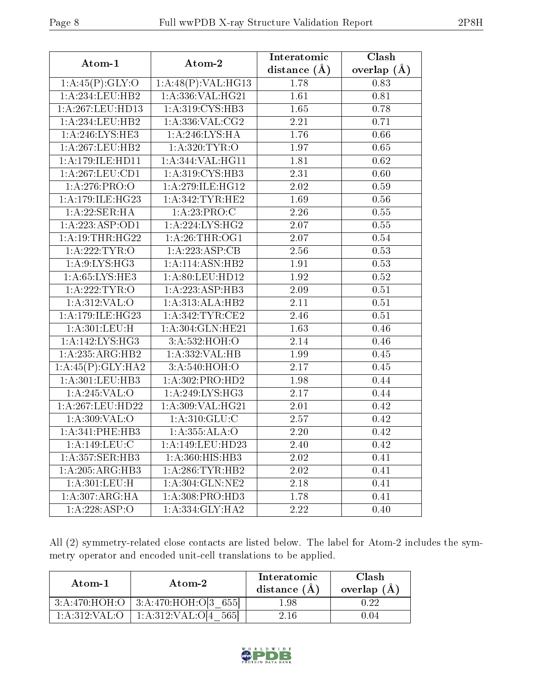| Atom-1                                | Atom-2              | Interatomic       | Clash         |
|---------------------------------------|---------------------|-------------------|---------------|
|                                       |                     | distance $(\AA)$  | overlap $(A)$ |
| 1: A:45(P): GLY:O                     | 1:A:48(P):VAL:H G13 | 1.78              | 0.83          |
| 1:A:234:LEU:HB2                       | 1:A:336:VAL:HG21    | 1.61              | 0.81          |
| 1:A:267:LEU:HD13                      | 1:A:319:CYS:HB3     | 1.65              | 0.78          |
| 1:A:234:LEU:HB2                       | 1:A:336:VAL:CG2     | 2.21              | 0.71          |
| 1: A:246: LYS: HE3                    | 1: A:246:LYS:HA     | 1.76              | 0.66          |
| $1:A:267:\overline{\textrm{LEU:HB2}}$ | 1: A:320: TYR:O     | 1.97              | 0.65          |
| 1:A:179:ILE:HD11                      | 1:A:344:VAL:HG11    | 1.81              | 0.62          |
| $1:A:\overline{267:LEU:CD1}$          | 1: A:319: CYS:HB3   | 2.31              | 0.60          |
| 1:A:276:PRO:O                         | 1:A:279:ILE:HG12    | 2.02              | 0.59          |
| 1:A:179:ILE:HG23                      | 1:A:342:TYR:HE2     | 1.69              | 0.56          |
| 1:A:22:SER:HA                         | 1:A:23:PRO:C        | 2.26              | 0.55          |
| 1: A: 223: ASP: OD1                   | 1: A:224:LYS:HG2    | 2.07              | 0.55          |
| 1: A:19:THR:HG22                      | 1: A:26:THR:OG1     | 2.07              | 0.54          |
| 1:A:222:TYR:O                         | 1:A:223:ASP:CB      | 2.56              | 0.53          |
| 1: A:9: LYS: HG3                      | 1:A:114:ASN:HB2     | 1.91              | 0.53          |
| 1:A:65:LYS:HE3                        | 1:A:80:LEU:HD12     | 1.92              | $0.52\,$      |
| 1:A:222:TYR:O                         | 1:A:223:ASP:HB3     | 2.09              | 0.51          |
| 1:A:312:VAL:O                         | 1:A:313:ALA:HB2     | 2.11              | 0.51          |
| 1: A:179: ILE: HG23                   | 1: A:342:TYR:CE2    | 2.46              | 0.51          |
| 1:A:301:LEU:H                         | 1:A:304:GLN:HE21    | 1.63              | 0.46          |
| 1:A:142:LYS:HG3                       | 3:A:532:HOH:O       | 2.14              | 0.46          |
| 1:A:235:ARG:HB2                       | 1:A:332:VAL:HB      | 1.99              | 0.45          |
| 1:A:45(P):GLY:HA2                     | 3:A:540:HOH:O       | 2.17              | 0.45          |
| 1:A:301:LEU:HB3                       | 1:A:302:PRO:HD2     | 1.98              | 0.44          |
| 1:A:245:VAL:O                         | 1:A:249:LYS:HG3     | 2.17              | 0.44          |
| 1:A:267:LEU:HD22                      | 1:A:309:VAL:HG21    | 2.01              | 0.42          |
| 1: A:309: VAL:O                       | 1: A:310: GLU:C     | $\overline{2.57}$ | 0.42          |
| 1: A:341:PHE:HB3                      | 1:A:355:ALA:O       | 2.20              | 0.42          |
| 1: A: 149: LEU: C                     | 1:A:149:LEU:HD23    | 2.40              | 0.42          |
| 1:A:357:SER:HB3                       | 1:A:360:HIS:HB3     | 2.02              | 0.41          |
| 1:A:205:ARG:HB3                       | 1: A:286:TYR:HB2    | 2.02              | 0.41          |
| 1:A:301:LEU:H                         | 1:A:304:GLN:NE2     | 2.18              | 0.41          |
| 1: A:307: ARG: HA                     | 1: A: 308: PRO: HD3 | 1.78              | 0.41          |
| 1: A:228: ASP:O                       | 1:A:334:GLY:HA2     | 2.22              | 0.40          |

All (2) symmetry-related close contacts are listed below. The label for Atom-2 includes the symmetry operator and encoded unit-cell translations to be applied.

| Atom-1          | Atom-2                                   | Interatomic<br>distance $(A)$ | <b>Clash</b><br>overlap $(A)$ |  |
|-----------------|------------------------------------------|-------------------------------|-------------------------------|--|
|                 | $3:A:470:HOH:O$   $3:A:470:HOH:O[3 655]$ | 1.98                          | O 22.                         |  |
| 1: A:312: VAL:O | 1:A:312:VAL:O[4 565]                     | 2.16                          | 1.04                          |  |

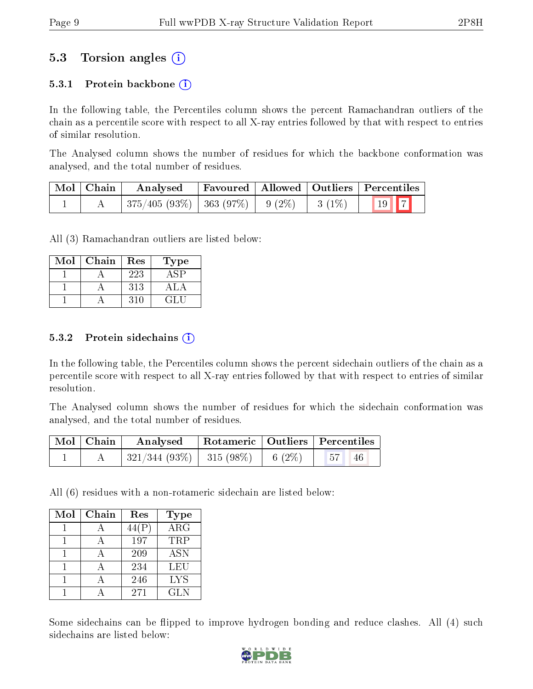## 5.3 Torsion angles (i)

#### 5.3.1 Protein backbone  $(i)$

In the following table, the Percentiles column shows the percent Ramachandran outliers of the chain as a percentile score with respect to all X-ray entries followed by that with respect to entries of similar resolution.

The Analysed column shows the number of residues for which the backbone conformation was analysed, and the total number of residues.

| Mol   Chain | Analysed                                                    |  |          | $\mid$ Favoured $\mid$ Allowed $\mid$ Outliers $\mid$ Percentiles |
|-------------|-------------------------------------------------------------|--|----------|-------------------------------------------------------------------|
|             | $\mid 375/405 \; (93\%) \mid 363 \; (97\%) \mid 9 \; (2\%)$ |  | $3(1\%)$ | 19 7                                                              |

All (3) Ramachandran outliers are listed below:

| Mol | Chain | $\operatorname{Res}% \left( \mathcal{N}\right) \equiv\operatorname{Res}(\mathcal{N}_{0})\cap\mathcal{N}_{1}$ | Type   |
|-----|-------|--------------------------------------------------------------------------------------------------------------|--------|
|     |       | 223                                                                                                          |        |
|     |       | 313                                                                                                          | ΔI     |
|     |       | 310                                                                                                          | . H. I |

#### $5.3.2$  Protein sidechains  $(i)$

In the following table, the Percentiles column shows the percent sidechain outliers of the chain as a percentile score with respect to all X-ray entries followed by that with respect to entries of similar resolution.

The Analysed column shows the number of residues for which the sidechain conformation was analysed, and the total number of residues.

| $\mid$ Mol $\mid$ Chain $\mid$ | Analysed                                | Rotameric   Outliers   Percentiles |  |             |  |
|--------------------------------|-----------------------------------------|------------------------------------|--|-------------|--|
|                                | $321/344$ (93\%)   315 (98\%)   6 (2\%) |                                    |  | $-57$ $46'$ |  |

All (6) residues with a non-rotameric sidechain are listed below:

| Mol | Chain | Res   | Type       |
|-----|-------|-------|------------|
|     |       | 44(P) | ARG        |
|     |       | 197   | TRP        |
|     |       | 209   | <b>ASN</b> |
|     |       | 234   | LEU        |
|     |       | 246   | <b>LYS</b> |
|     |       | 271   | GLN        |

Some sidechains can be flipped to improve hydrogen bonding and reduce clashes. All (4) such sidechains are listed below:

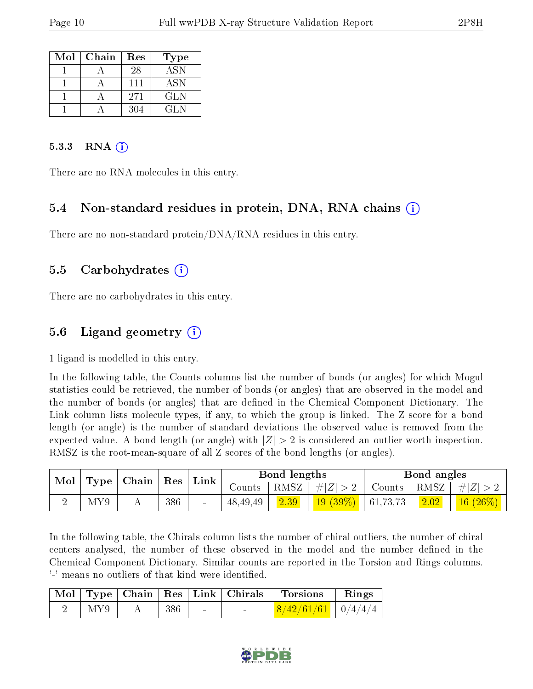| Mol | Chain | Res | Type       |
|-----|-------|-----|------------|
|     |       | 28  | <b>ASN</b> |
|     |       | 111 | <b>ASN</b> |
|     |       | 271 | GLN        |
|     |       | 304 | GL N       |

#### 5.3.3 RNA  $(i)$

There are no RNA molecules in this entry.

#### 5.4 Non-standard residues in protein, DNA, RNA chains (i)

There are no non-standard protein/DNA/RNA residues in this entry.

#### 5.5 Carbohydrates (i)

There are no carbohydrates in this entry.

## 5.6 Ligand geometry (i)

1 ligand is modelled in this entry.

In the following table, the Counts columns list the number of bonds (or angles) for which Mogul statistics could be retrieved, the number of bonds (or angles) that are observed in the model and the number of bonds (or angles) that are defined in the Chemical Component Dictionary. The Link column lists molecule types, if any, to which the group is linked. The Z score for a bond length (or angle) is the number of standard deviations the observed value is removed from the expected value. A bond length (or angle) with  $|Z| > 2$  is considered an outlier worth inspection. RMSZ is the root-mean-square of all Z scores of the bond lengths (or angles).

| Mol<br>Type |             | $\mid$ Chain | $\operatorname{Res}$ | $^+$ Link |            | Bond lengths |               |          | Bond angles      |            |
|-------------|-------------|--------------|----------------------|-----------|------------|--------------|---------------|----------|------------------|------------|
|             |             |              |                      |           | Counts -   | RMSZ         | $\pm  Z  > 2$ | Counts   | $\pm$ RMSZ $\pm$ | $\pm  Z $  |
| ∸           | ${\rm MY9}$ |              | 386                  | $\sim$    | 48, 49, 49 | 2.39         | $19(39\%)$    | 61,73,73 | 2.02             | $16(26\%)$ |

In the following table, the Chirals column lists the number of chiral outliers, the number of chiral centers analysed, the number of these observed in the model and the number defined in the Chemical Component Dictionary. Similar counts are reported in the Torsion and Rings columns. '-' means no outliers of that kind were identified.

|     |     |        | Mol   Type   Chain   Res   Link   Chirals | Torsions               | Rings |
|-----|-----|--------|-------------------------------------------|------------------------|-------|
| MY9 | 386 | $\sim$ | $\sim$                                    | $8/42/61/61$   0/4/4/4 |       |

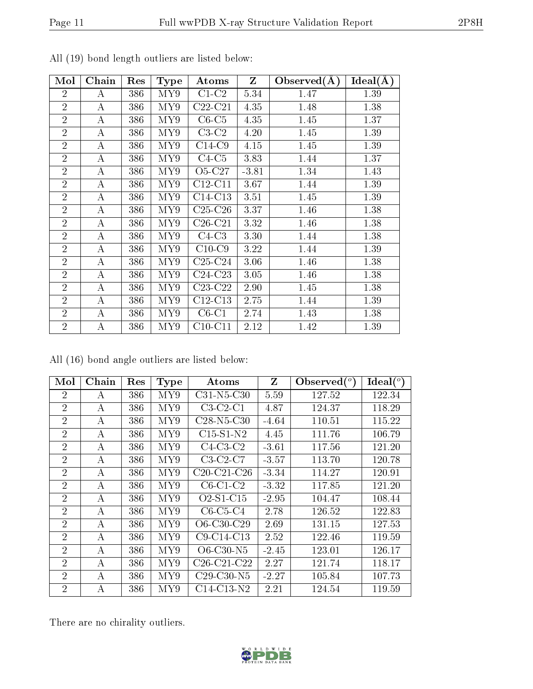| Mol            | Chain            | Res | <b>Type</b> | Atoms      | $\mathbf{Z}$ | Observed $(A)$ | Ideal(A) |
|----------------|------------------|-----|-------------|------------|--------------|----------------|----------|
| $\overline{2}$ | A                | 386 | MY9         | $C1-C2$    | 5.34         | 1.47           | 1.39     |
| $\overline{2}$ | A                | 386 | MY9         | C22-C21    | 4.35         | 1.48           | 1.38     |
| $\overline{2}$ | $\bf{A}$         | 386 | MY9         | $C6-C5$    | 4.35         | 1.45           | 1.37     |
| $\overline{2}$ | A                | 386 | MY9         | $C3-C2$    | 4.20         | 1.45           | 1.39     |
| $\overline{2}$ | A                | 386 | MY9         | $C14-C9$   | 4.15         | 1.45           | 1.39     |
| $\overline{2}$ | $\bf{A}$         | 386 | MY9         | $C4-C5$    | 3.83         | 1.44           | 1.37     |
| $\overline{2}$ | А                | 386 | MY9         | $O5-C27$   | $-3.81$      | 1.34           | 1.43     |
| $\overline{2}$ | $\boldsymbol{A}$ | 386 | MY9         | $C12-C11$  | 3.67         | 1.44           | 1.39     |
| $\overline{2}$ | A                | 386 | MY9         | $C14-C13$  | 3.51         | 1.45           | 1.39     |
| $\overline{2}$ | $\boldsymbol{A}$ | 386 | MY9         | $C25-C26$  | 3.37         | 1.46           | 1.38     |
| $\overline{2}$ | A                | 386 | MY9         | $C26-C21$  | 3.32         | 1.46           | 1.38     |
| $\overline{2}$ | A                | 386 | MY9         | $C4-C3$    | 3.30         | 1.44           | 1.38     |
| $\overline{2}$ | A                | 386 | MY9         | $C10-C9$   | 3.22         | 1.44           | 1.39     |
| $\overline{2}$ | A                | 386 | MY9         | $C25-C24$  | 3.06         | 1.46           | 1.38     |
| $\overline{2}$ | $\bf{A}$         | 386 | MY9         | $C24-C23$  | 3.05         | 1.46           | 1.38     |
| $\overline{2}$ | $\bf{A}$         | 386 | MY9         | $C23-C22$  | 2.90         | 1.45           | 1.38     |
| $\overline{2}$ | $\bf{A}$         | 386 | MY9         | $C12-C13$  | 2.75         | 1.44           | 1.39     |
| $\overline{2}$ | $\bf{A}$         | 386 | MY9         | $C6-C1$    | 2.74         | 1.43           | 1.38     |
| $\overline{2}$ | А                | 386 | MY9         | $C10$ -C11 | 2.12         | 1.42           | 1.39     |

All (19) bond length outliers are listed below:

All (16) bond angle outliers are listed below:

| Mol            | Chain            | Res | <b>Type</b> | Atoms        | Z       | Observed $(°)$ | Ideal $(^\circ)$ |
|----------------|------------------|-----|-------------|--------------|---------|----------------|------------------|
| $\overline{2}$ | А                | 386 | MY9         | $C31-N5-C30$ | 5.59    | 127.52         | 122.34           |
| $\overline{2}$ | $\boldsymbol{A}$ | 386 | MY9         | $C3-C2-C1$   | 4.87    | 124.37         | 118.29           |
| $\overline{2}$ | А                | 386 | MY9         | $C28-N5-C30$ | $-4.64$ | 110.51         | 115.22           |
| $\overline{2}$ | А                | 386 | MY9         | $C15-S1-N2$  | 4.45    | 111.76         | 106.79           |
| $\overline{2}$ | А                | 386 | MY9         | $C4-C3-C2$   | $-3.61$ | 117.56         | 121.20           |
| $\overline{2}$ | А                | 386 | MY9         | $C3-C2-C7$   | $-3.57$ | 113.70         | 120.78           |
| $\overline{2}$ | А                | 386 | MY9         | C20-C21-C26  | $-3.34$ | 114.27         | 120.91           |
| $\overline{2}$ | A                | 386 | MY9         | $C6-C1-C2$   | $-3.32$ | 117.85         | 121.20           |
| $\overline{2}$ | А                | 386 | MY9         | $O2-S1-C15$  | $-2.95$ | 104.47         | 108.44           |
| $\overline{2}$ | А                | 386 | MY9         | $C6-C5-C4$   | 2.78    | 126.52         | 122.83           |
| $\overline{2}$ | А                | 386 | MY9         | O6-C30-C29   | 2.69    | 131.15         | 127.53           |
| $\overline{2}$ | А                | 386 | MY9         | $C9-C14-C13$ | 2.52    | 122.46         | 119.59           |
| $\overline{2}$ | А                | 386 | MY9         | O6-C30-N5    | $-2.45$ | 123.01         | 126.17           |
| $\overline{2}$ | A                | 386 | MY9         | C26-C21-C22  | 2.27    | 121.74         | 118.17           |
| $\overline{2}$ | А                | 386 | MY9         | $C29-C30-N5$ | $-2.27$ | 105.84         | 107.73           |
| $\overline{2}$ | А                | 386 | MY9         | $C14-C13-N2$ | 2.21    | 124.54         | 119.59           |

There are no chirality outliers.

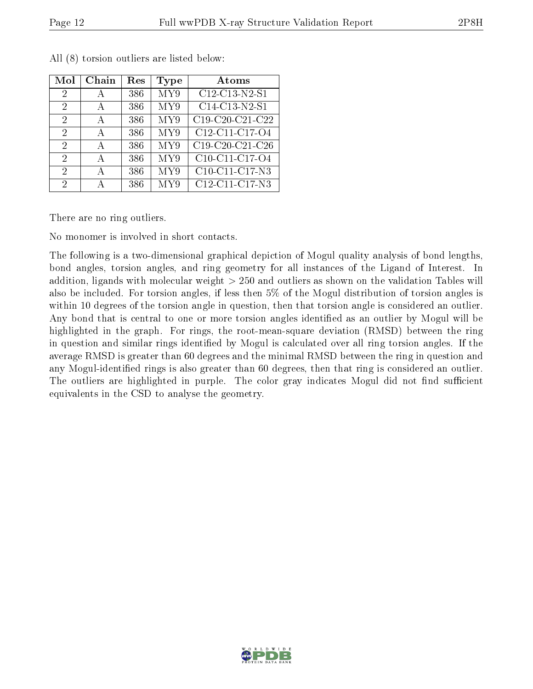| Mol                         | Chain | Res | Type             | Atoms                             |
|-----------------------------|-------|-----|------------------|-----------------------------------|
| -2                          |       | 386 | MY9              | $\overline{\text{C12-C13-N2-S1}}$ |
| $\mathcal{D}_{\mathcal{A}}$ | А     | 386 | MY9              | C14-C13-N2-S1                     |
| $\mathcal{D}_{\mathcal{A}}$ | А     | 386 | $\overline{M}Y9$ | $\overline{C19-C20}$ -C21-C22     |
| 2                           | А     | 386 | MY9              | C12-C11-C17-O4                    |
| $\mathcal{D}$               | А     | 386 | MY9              | C19-C20-C21-C26                   |
| $\mathcal{D}_{\mathcal{A}}$ | А     | 386 | MY9              | $\overline{C10}$ -C11-C17-O4      |
| $\mathcal{D}_{\mathcal{A}}$ |       | 386 | MY9              | C10-C11-C17-N3                    |
| 2                           |       | 386 | MY9              | $Cl2Cl1Cl7 N3$                    |

All (8) torsion outliers are listed below:

There are no ring outliers.

No monomer is involved in short contacts.

The following is a two-dimensional graphical depiction of Mogul quality analysis of bond lengths, bond angles, torsion angles, and ring geometry for all instances of the Ligand of Interest. In addition, ligands with molecular weight > 250 and outliers as shown on the validation Tables will also be included. For torsion angles, if less then 5% of the Mogul distribution of torsion angles is within 10 degrees of the torsion angle in question, then that torsion angle is considered an outlier. Any bond that is central to one or more torsion angles identified as an outlier by Mogul will be highlighted in the graph. For rings, the root-mean-square deviation (RMSD) between the ring in question and similar rings identified by Mogul is calculated over all ring torsion angles. If the average RMSD is greater than 60 degrees and the minimal RMSD between the ring in question and any Mogul-identied rings is also greater than 60 degrees, then that ring is considered an outlier. The outliers are highlighted in purple. The color gray indicates Mogul did not find sufficient equivalents in the CSD to analyse the geometry.

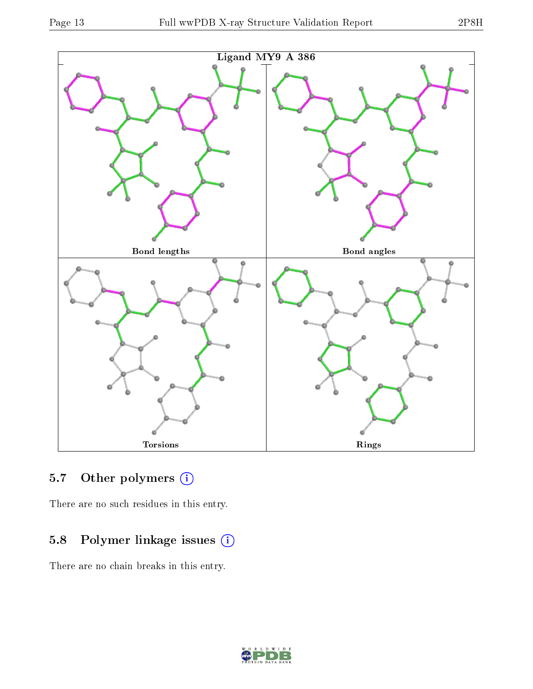

### 5.7 [O](https://www.wwpdb.org/validation/2017/XrayValidationReportHelp#nonstandard_residues_and_ligands)ther polymers (i)

There are no such residues in this entry.

# 5.8 Polymer linkage issues (i)

There are no chain breaks in this entry.